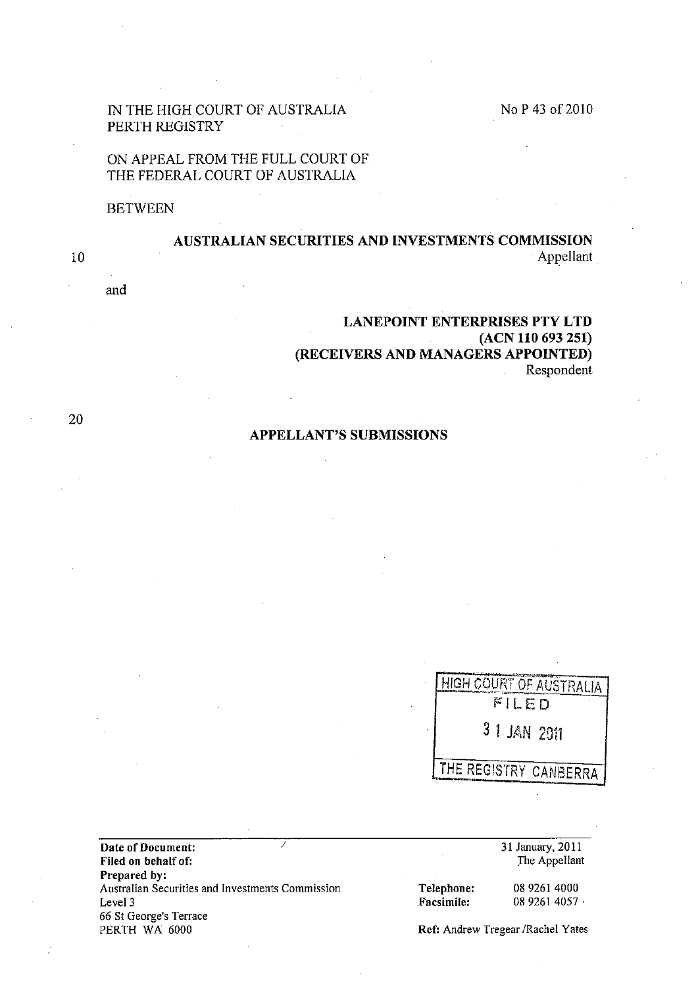## IN THE HIGH COURT OF AUSTRALIA PERTH REGISTRY

# ON APPEAL FROM THE FULL COURT OF THE FEDERAL COURT OF AUSTRALIA

#### **BETWEEN**

# AUSTRALIAN SECURITIES AND INVESTMENTS COMMISSION Appellant

# LANEPOINT ENTERPRISES PTY LTD (ACN 110 693 251) (RECEIVERS AND MANAGERS APPOINTED) Respondent

## APPELLANT'S SUBMISSIONS

| HIGH COURT OF AUSTRALIA |
|-------------------------|
| FILED                   |
| 3 1 JAN 2011            |
| THE REGISTRY CANBERRA   |

Date of Document: Filed on behalf of: Prepared by: Australian Securities and Investments Commission Level 3 66 St George's Terrace

31 January, 2011 The Appellant

Telephone: Facsimile:

0892614000 08 9261 4057 .

Ref: Andrew Tregear /Rachel Yates

and

20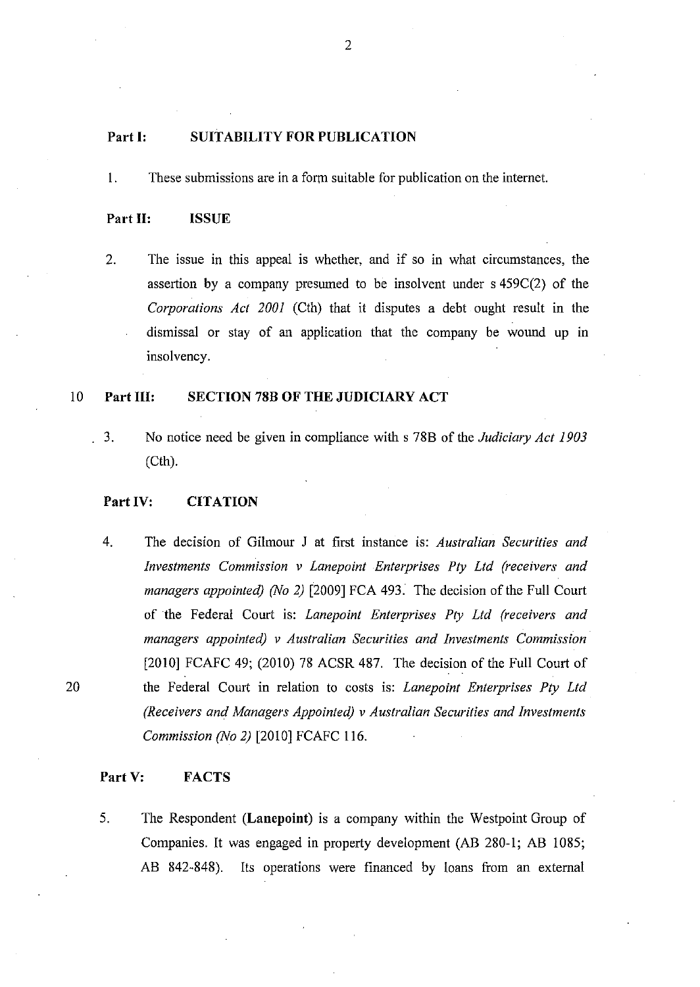## **Part I: SUITABILITY FOR PUBLICATION**

I. These submissions are in a form suitable for publication on the internet.

#### **Part 11: ISSUE**

2. The issue in this appeal is whether, and if so in what circumstances, the assertion by a company presumed to be insolvent under s 4S9C(2) of the *Corporations Act 2001* (Cth) that it disputes a debt ought result in the dismissal or stay of an application that the company be wound up in insolvency.

## 10 **Part Ill: SECTION 78B OF THE JUDICIARY ACT**

3. No notice need be given in compliance with s 78B of the *Judiciary Act 1903*  (Cth).

## Part IV: **CITATION**

4. The decision of Gilmour J at first instance is: *Australian Securities and Investments Commission v Lanepoint Enterprises Ply Ltd (receivers and managers appointed) (No* 2) [2009] FCA 493. The decision of the Full Court of the Federal Court is: *Lanepoint Enterprises Ply Ltd (receivers and managers appointed) v Australian Securities and Investments Commission*  [2010] FCAFC 49; (2010) 78 ACSR 487. The decision of the Full Court of the Federal Court in relation to costs is: *Lanepoint Enterprises Ply Ltd (Receivers and Managers Appointed) v Australian Securities and Investments Commission (No* 2) [2010] FCAFC 116.

## **Part V: FACTS**

20

5. The Respondent **(Lanepoint)** is a company within the Westpoint Group of Companies. It was engaged in property development (AB 280-1; AB 1085; AB 842-848). Its operations were financed by loans from an external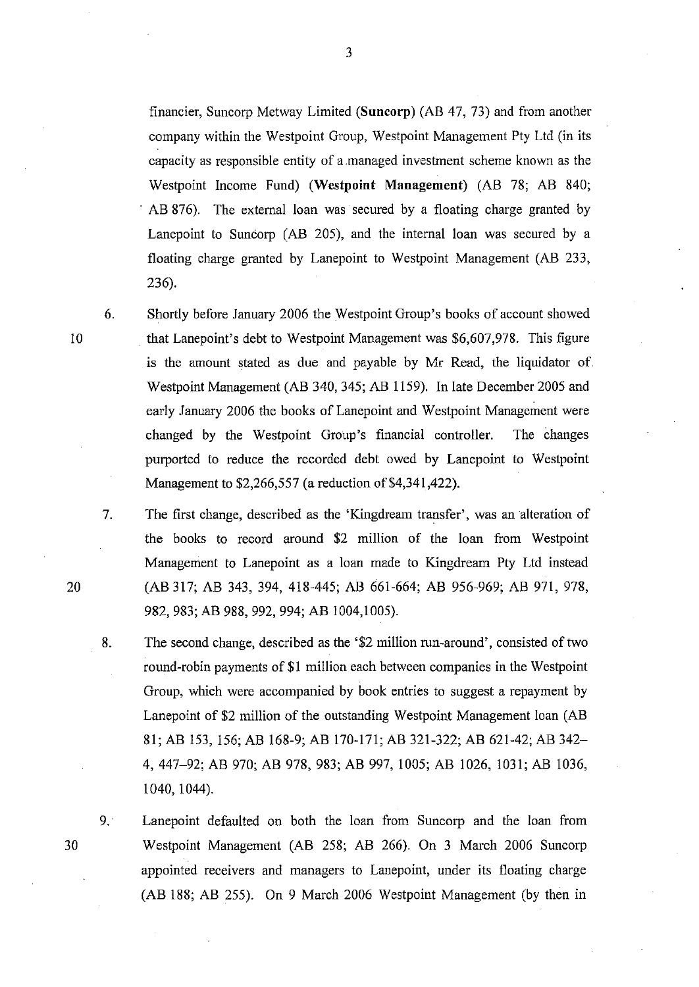financier, Suncorp Metway Limited (Suncorp) (AB 47, 73) and from another company within the Westpoint Group, Westpoint Management Pty Ltd (in its capacity as responsible entity of a managed investment scheme known as the Westpoint Income Fund) (Westpoint Management) (AB 78; AB 840; . AB 876). The external loan was secured by a floating charge granted by Lanepoint to Suncorp (AB 205), and the internal loan was secured by a floating charge granted by Lanepoint to Westpoint Management (AB 233, 236).

6. Shortly before January 2006 the Westpoint Group's books of account showed that Lanepoint's debt to Westpoint Management was \$6,607,978. This figure is the amount stated as due and payable by Mr Read, the liquidator of Westpoint Management (AB 340, 345; AB 1159). In late December 2005 and early January 2006 the books of Lanepoint and Westpoint Management were changed by the Westpoint Group's financial controller. The changes purported to reduce the recorded debt owed by Lanepoint to Westpoint Management to \$2,266,557 (a reduction of \$4,341,422).

7. The first change, described as the 'Kingdream transfer', was an alteration of the books to record around \$2 million of the loan from Westpoint Management to Lanepoint as a loan made to Kingdream Pty Lld instead (AB 317; AB 343,394,418-445; AB 661-664; AB 956-969; AB 971, 978, 982,983; AB 988, 992, 994; AB 1004,1005).

- 8. The second change, described as the '\$2 million run-around', consisted of two round-robin payments of \$1 million each between companies in the Westpoint Group, which were accompanied by book entries to suggest a repayment by Lanepoint of \$2 million of the outstanding Westpoint Management loan (AB 81; AB 153, 156; AB 168-9; AB 170-171; AB 321-322; AB 621-42; AB 342- 4,447-92; AB 970; AB 978, 983; AB 997, 1005; AB 1026, 1031; AB 1036, 1040, 1044).
- 9. Lanepoint defaulted on both the loan from Suncorp and the loan from Westpoint Management (AB 258; AB 266). On 3 March 2006 Suncorp appointed receivers and managers to Lanepoint, under its floating charge (AB 188; AB 255). On 9 March 2006 Westpoint Management (by then in

20

30

- 10
	-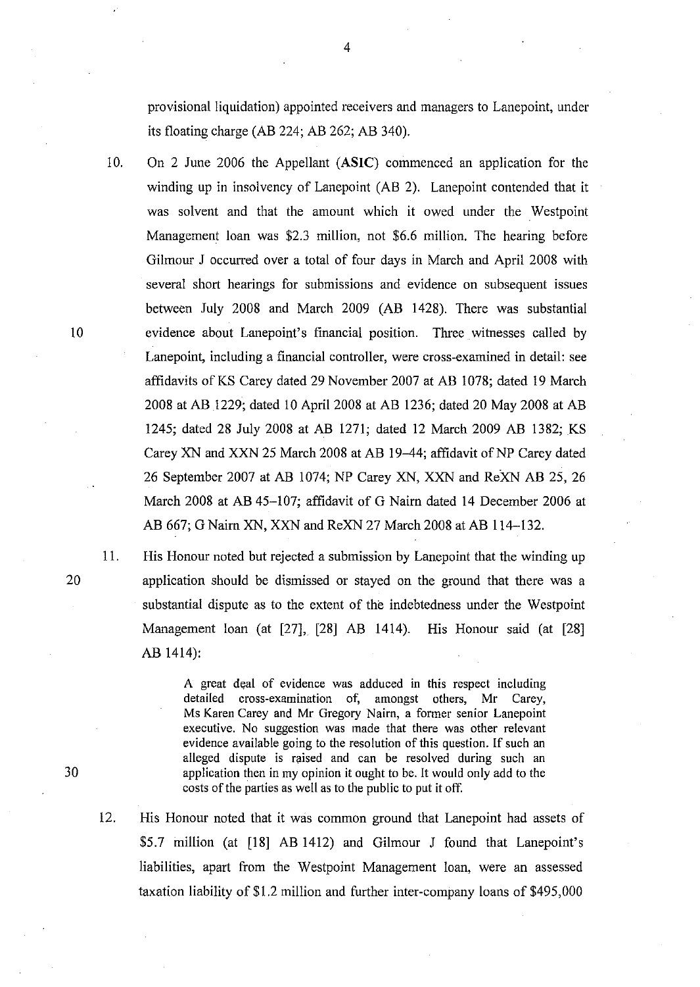provisional liquidation) appointed receivers and managers to Lanepoint, under its floating charge (AB 224; AB 262; AB 340).

10. On 2 June 2006 the Appellant (ASIC) commenced an application for the winding up in insolvency of Lanepoint (AB 2). Lanepoint contended that it was solvent and that the amount which it owed under the Westpoint Management loan was \$2.3 million, not \$6.6 million. The hearing before Gilmour J occurred over a total of four days in March and April 2008 with several short hearings for submissions and evidence on subsequent issues between July 2008 and March 2009 (AB 1428). There was substantial 10 evidence about Lanepoint's financial position. Three witnesses called by Lanepoint, including a financial controller, were cross-examined in detail: see affidavits of KS Carey dated 29 November 2007 at AB 1078; dated 19 March 2008 at AB 1229; dated 10 April 2008 at AB 1236; dated 20 May 2008 at AB 1245; dated 28 July 2008 at AB 1271; dated 12 March 2009 AB 1382; KS Carey XN and XXN 25 March 2008 at AB 19–44; affidavit of NP Carey dated 26 September 2007 at AB 1074; NP Carey XN, XXN and ReXN AB 25, 26 March 2008 at AB 45-107; affidavit of G Nairn dated 14 December 2006 at AB 667; G Nairn XN, XXN and ReXN 27 March 2008 at AB 114-132.

11. His Honour noted but rejected a submission by Lanepoint that the winding up application should be dismissed or stayed on the ground that there was a substantial dispute as to the extent of the indebtedness under the Westpoint Management loan (at [27], [28] AB 1414). His Honour said (at [28] AB 1414):

> A great deal of evidence was adduced in this respect including detailed cross-examination of, amongst others, Mr Carey, Ms Karen Carey and Mr Gregory Nairn, a former senior Lanepoint executive. No suggestion was made that there was other relevant evidence available going to the resolution of this question. If such an alleged dispute is raised and can be resolved during such an application then in my opinion it ought to be. It would only add to the costs of the parties as well as to the public to put it off.

12. His Honour noted that it was common ground that Lanepoint had assets of \$5.7 million (at [18] AB 1412) and Gilmour J found that Lanepoint's liabilities, apart from the Westpoint Management loan, were an assessed taxation liability of \$1.2 million and further inter-company loans of \$495,000

20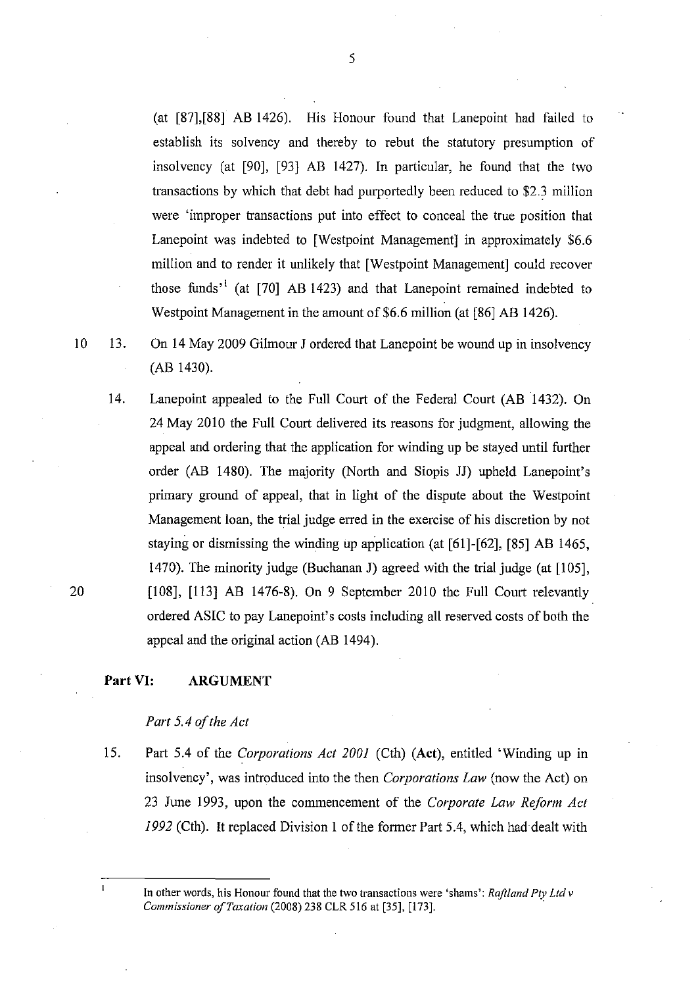(at [87],[88] AB 1426). His Honour found that Lanepoint had failed to establish its solvency and thereby to rebut the statutory presumption of insolvency (at [90], [93] AB 1427). In particular, he found that the two transactions by which that debt had purportedly been reduced to \$2.3 million were 'improper transactions put into effect to conceal the true position that Lanepoint was indebted to [Westpoint Management] in approximately \$6.6 million and to render it unlikely that [Westpoint Management] could recover those funds<sup>31</sup> (at [70] AB 1423) and that Lanepoint remained indebted to Westpoint Management in the amount of \$6.6 million (at [86] AB 1426).

10 13. On 14 May 2009 Gilmour J ordered that Lanepoint be wound up in insolvency (AB 1430).

14. Lanepoint appealed to the Full Court of the Federal Court (AB 1432). On 24 May 2010 the Full Court delivered its reasons for judgment, allowing the appeal and ordering that the application for winding up be stayed until further order (AB 1480). The majority (North and Siopis JJ) upheld Lanepoint's primary ground of appeal, that in light of the dispute about the Westpoint Management loan, the trial judge erred in the exercise of his discretion by not staying or dismissing the winding up application (at [61]-[62], [85] AB 1465, 1470). The minority judge (Buchanan J) agreed with the trial judge (at [105], [108], [113] AB 1476-8). On 9 September 2010 the Full Court relevantly ordered ASIC to pay Lanepoint's costs including all reserved costs of both the appeal and the original action (AB 1494).

# **Part VI: ARGUMENT**

## *Part* 5.4 *of the Act*

IS. Part 5.4 of the *Corporations Act 2001* (Cth) (Act), entitled 'Winding up in insolvency', was introduced into the then *Corporations Law* (now the Act) on 23 June 1993, upon the commencement of the *Corporate Law Reform Act*  1992 (Cth). It replaced Division 1 of the former Part 5.4, which had dealt with

In other words, his Honour found that the two transactions were 'shams'; *Raft/and Ply Lld v Commissioner of Taxation* (2008) 238 CLR 516 at [35], [173].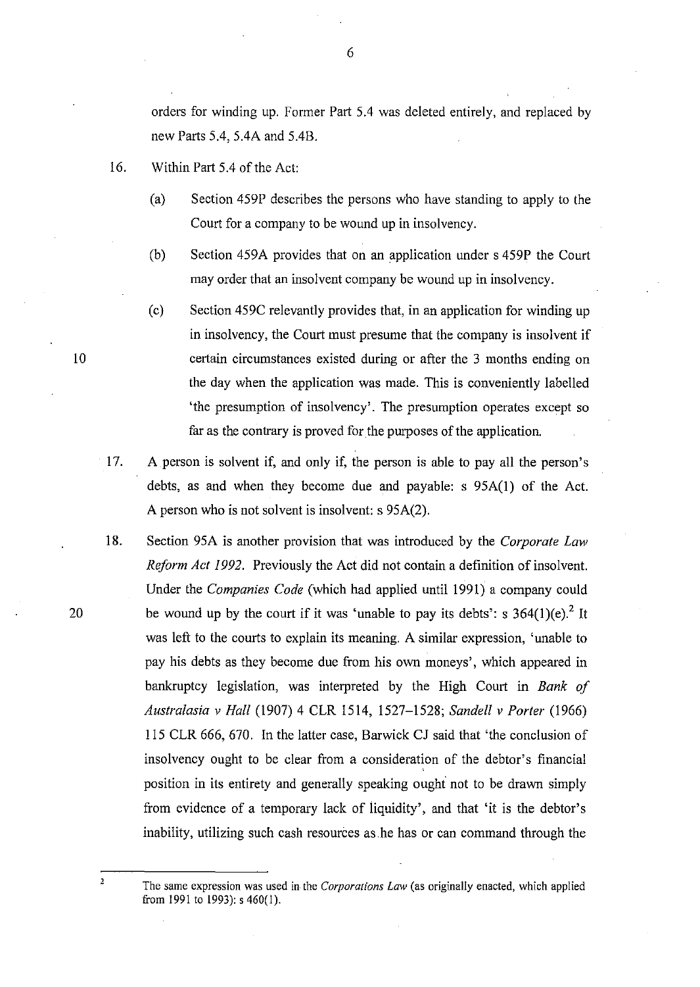orders for winding up. Former Part *SA* was deleted entirely, and replaced by new Parts *SA, 5AA* and *5AB.* 

- 16. Within Part *SA* of the Act:
	- (a) Section 459P describes the persons who have standing to apply to the Court for a company to be wound up in insolvency.
	- (b) Section 459A provides that on an application under s 459P the Court may order that an insolvent company be wound up in insolvency.
	- (c) Section 459C relevantly provides that, in an application for winding up in insolvency, the Court must presume that the company is insolvent if certain circumstances existed during or after the 3 months ending on the day when the application was made. This is conveniently labelled 'the presumption of insolvency'. The presumption operates except so far as the contrary is proved for the purposes of the application.
- 17. A person is solvent if, and only if, the person is able to pay all the person's debts, as and when they become due and payable: s 95A(1) of the Act. A person who is not solvent is insolvent: s 95A(2).
- 18. Section 95A is another provision that was introduced by the *Corporate Law Reform Act* 1992. Previously the Act did not contain a definition of insolvent. Under the *Companies Code* (which had applied until 1991) a company could be wound up by the court if it was 'unable to pay its debts': s *364(1)(e)?* It was left to the courts to explain its meaning. A similar expression, 'unable to pay his debts as they become due from his own moneys', which appeared in bankruptcy legislation, was interpreted by the High Court in *Bank of Australasia v Hall* (1907) 4 CLR 1514, 1527-1528; *Sandell v Porter (1966)*  115 CLR 666, 670. In the latter case, Barwick CJ said that 'the conclusion of insolvency ought to be clear from a consideration of the debtor's financial position in its entirety and generally speaking ought not to be drawn simply from evidence of a temporary lack of liquidity', and that 'it is the debtor's inability, utilizing such cash resources as he has or can command through the
	- The same expression was used in the *Corporations Law* (as originally enacted, which applied from 1991 to 1993): s 460(1).

10

20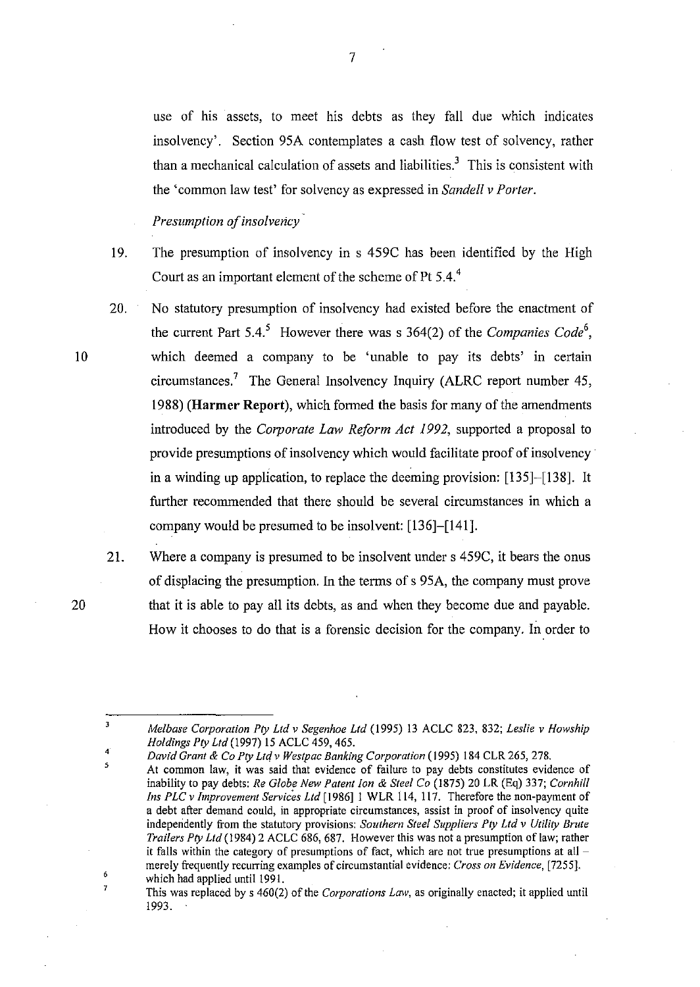use of his assets, to meet his debts as they fall due which indicates insolvency'. Section 95A contemplates a cash flow test of solvency, rather than a mechanical calculation of assets and liabilities.<sup>3</sup> This is consistent with the 'common law test' for solvency as expressed in *Sandell* v *Porter.* 

*Presumption of insolvency'* 

- 19. The presumption of insolvency in s 459C has been identified by the High Court as an important element of the scheme of Pt 5.4.<sup>4</sup>
- 20. No statutory presumption of insolvency had existed before the enactment of the current Part  $5.4$ <sup>5</sup> However there was s  $364(2)$  of the *Companies Code*<sup>6</sup>, which deemed a company to be 'unable to pay its debts' in certain circumstances.7 The General Insolvency Inquiry (ALRC report number 45, 1988) **(Harmer** Report), which formed the basis for many of the amendments introduced by the *Corporate Law Reform Act* 1992, supported a proposal to provide presumptions of insolvency which would facilitate proof of insolvency' in a winding up application, to replace the deeming provision: [135]-[138]. It further recommended that there should be several circumstances in which a company would be presumed to be insolvent: [136]-[141].

4 5

 $\overline{\mathbf{3}}$ 

6 7

21. Where a company is presumed to be insolvent under s 459C, it bears the onus of displacing the presumption. In the terms of s 95A, the company must prove that it is able to pay all its debts, as and when they become due and payable. How it chooses to do that is a forensic decision for the company. In order to

*David Grant* & *Co Ply Lld v Westpac Banking Corporation* (1995) 184 CLR 265, 278.

This was replaced by s 460(2) of the *Corporations Law,* as originally enacted; it applied until 1993.

20

*Melbase Corporation Ply Lld v Segenhoe Lld* (1995) 13 ACLC 823, 832; *Leslie v Howship Holdings Ply Ltd* (1997) 15 ACLC 459, 465.

At common law, it was said that evidence of failure to pay debts constitutes evidence of inability to pay debts: *Re Globe New Patent Ion* & *Steel Co* (1875) 20 LR (Eq) 337; *Cornhill Ins PLC v Improvement Services Lld* [1986] 1 WLR 114, 117. Therefore the non-payment of a debt after demand could, in appropriate circumstances, assist in proof of insolvency quite independently from the statutory provisions: *Southern Steel Suppliers Ply Lld v Utilily Brute Trailers Ply Lld* (1984) 2 ACLC 686, 687. However this was not a presumption of law; rather it falls within the category of presumptions of fact, which are not true presumptions at all merely frequently recurring examples of circumstantial evidence: *Cross on Evidence, [7255].*  which had applied until 1991.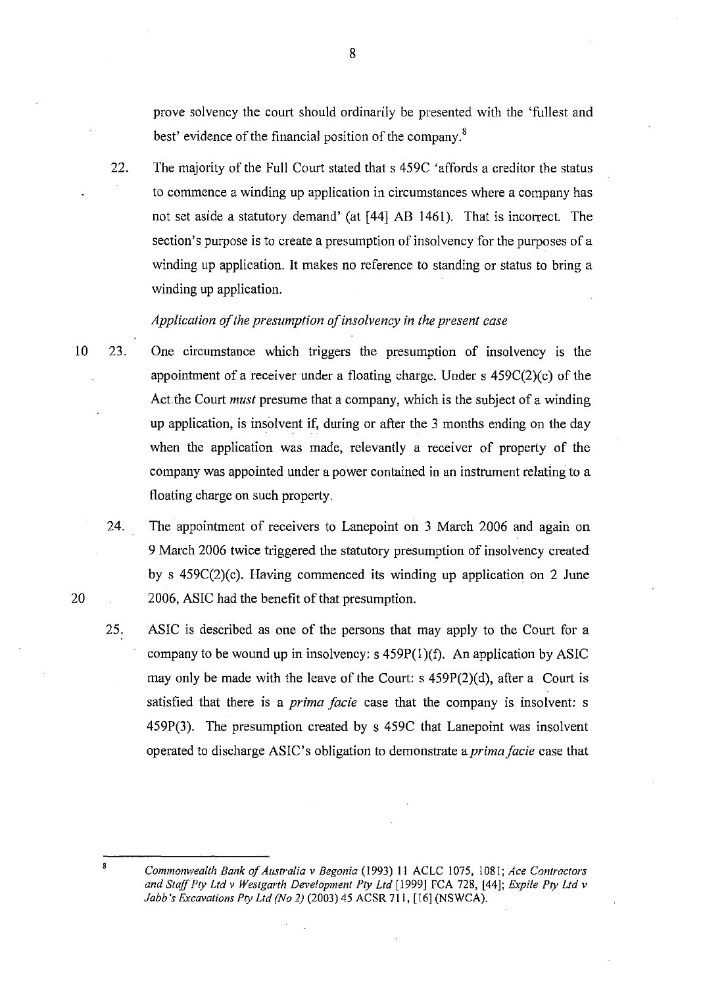prove solvency the court should ordinarily be presented with the 'fullest and best' evidence of the financial position of the company. $s^8$ 

22. The majority of the Full Court stated that s 459C 'affords a creditor the status to commence a winding up application in circumstances where a company has not set aside a statutory demand' (at [44] AB 1461). That is incorrect. The section's purpose is to create a presumption of insolvency for the purposes of a winding up application. It makes no reference to standing or status to bring a winding up application.

# *Application of the presumption of insolvency in the present case*

- 10 23. One circumstance which triggers the presumption of insolvency is the appointment of a receiver under a floating charge. Under s 459C(2)(c) of the Act.the Court *must* presume that a company, which is the subject of a winding up application, is insolvent if, during or after the 3 months ending on the day when the application was made, relevantly a receiver of property of the company was appointed under a power contained in an instrument relating to a floating charge on such property.
	- 24. The appointment of receivers to Lanepoint on 3 March 2006 and again on 9 March 2006 twice triggered the statutory presumption of insolvency created by s 459C(2)(c). Having commenced its winding up application on 2 June 2006, ASIC had the benefit of that presumption.
	- 25. ASIC is described as one of the persons that may apply to the Court for a company to be wound up in insolvency:  $s$  459P(1)(f). An application by ASIC may only be made with the leave of the Court: s  $459P(2)(d)$ , after a Court is satisfied that there is a *prima facie* case that the company is insolvent: s 459P(3). The presumption created by s 459C that Lanepoint was insolvent operated to discharge ASIC's obligation to demonstrate a *prima facie* case that

*Commonwealth Bank of Australia* v *Begonia* (1993) II ACLC 1075, 1081; *Ace Contractors*  and Staff Pty Ltd v Westgarth Development Pty Ltd [1999] FCA 728, [44]; *Expile Pty Ltd v Jabb's Excavations Ply Lld (No* 2) (2003) 45 ACSR 711, [16] (NSWCA).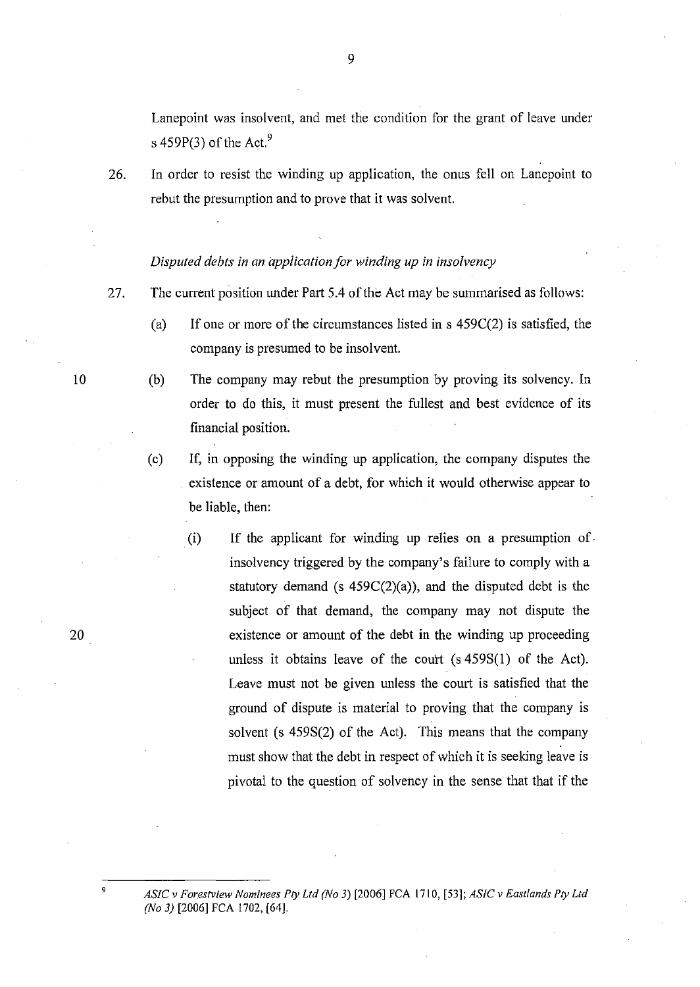Lanepoint was insolvent, and met the condition for the grant of leave under s 459P(3) of the Act.<sup>9</sup>

26. In order to resist the winding up application, the onus fell on Lanepoint to rebut the presumption and to prove that it was solvent.

## *Disputed debts in an application for winding up in insolvency*

- 27. The current position under Part 5.4 of the Act may be summarised as follows:
	- (a) If one or more of the circumstances listed in s  $459C(2)$  is satisfied, the company is presumed to be insolvent.
	- (b) The company may rebut the presumption by proving its solvency. In order to do this, it must present the fullest and best evidence of its financial position.
	- (c) If, in opposing the winding up application, the company disputes the existence or amount of a debt, for which it would otherwise appear to be liable, then:
		- . (i) If the applicant for winding up relies on a presumption of. insolvency triggered by the company's failure to comply with a statutory demand (s  $459C(2)(a)$ ), and the disputed debt is the subject of that demand, the company may not dispute the existence or amount of the debt in the winding up proceeding unless it obtains leave of the court (s 459S(1) of the Act). Leave must not be given unless the court is satisfied that the ground of dispute is material to proving that the company is solvent (s 459S(2) of the Act). This means that the company must show that the debt in respect of which it is seeking leave is pivotal to the question of solvency in the sense that that if the

*ASIC* v *For,estview Nominees Ply Lld (No* 3) [2006] FCA 1710, [53]; *ASIC* v *Eastlands Ply Lld (No* 3) [2006] FCA 1702, [64].

20

9

10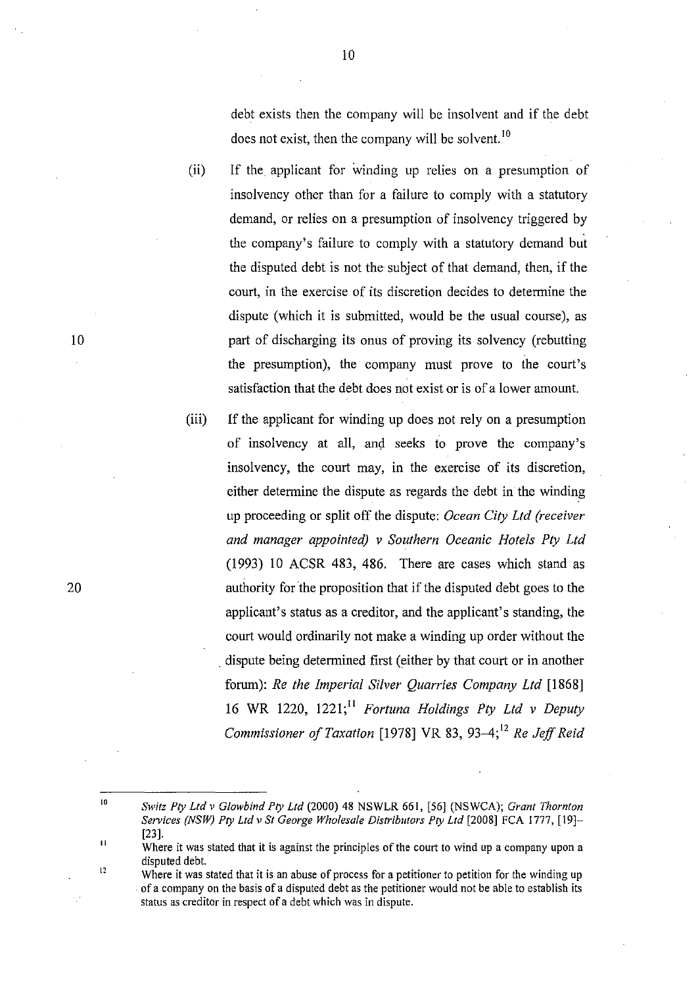debt exists then the company will be insolvent and if the debt does not exist, then the company will be solvent.<sup>10</sup>

- (ii) If the applicant for winding up relies on a presumption of insolvency other than for a failure to comply with a statutory demand, or relies on a presumption of insolvency triggered by the company's failure to comply with a statutory demand but the disputed debt is not the subject of that demand, then, if the court, in the exercise of its discretion decides to determine the dispute (which it is submitted, would be the usual course), as part of discharging its onus of proving its solvency (rebutting the presumption), the company must prove to the court's satisfaction that the debt does not exist or is of a lower amount.
- (iii) **If** the applicant for winding up does not rely on a presumption of insolvency at all, and seeks to prove the company's insolvency, the court may, in the exercise of its discretion, either determine the dispute as regards the debt in the winding up proceeding or split off the dispute: *Ocean City Ltd (receiver and manager appointed)* v *Southern Oceanic Hotels Pty Ltd*  (1993) 10 ACSR 483, 486. There are cases which stand as authority for the proposition that if the disputed debt goes to the applicant's status as a creditor, and the applicant's standing, the court would ordinarily not make a winding up order without the . dispute being determined first (either by that court or in another forum): *Re the Imperial Silver Quarries Company Ltd [1868]*  16 WR 1220, 1221;11 *Fortuna Holdings Pty Ltd* v *Deputy Commissioner of Taxation* [1978] VR 83, 93-4;<sup>12</sup> *Re Jeff Reid*

 $10$ 

<sup>10</sup>  *Switz Pry Ltd v Glowbind Pry Ltd* (2000) 48 NSWLR 661, [56] (NSWCA); *Grant Thornton Services (NSW) Pry Ltd* v *St George Wholesale Distributors Pry Ltd* [2008] FCA 1777, [19]- [23].

<sup>11</sup>  12 Where it was stated that it is against the principles of the court to wind up a company upon a disputed debt.

Where it was stated that it is an abuse of process for a petitioner to petition for the winding up . of a company on the basis of a disputed debt as the petitioner would not be able to establish its status as creditor in respect of a debt which was in dispute.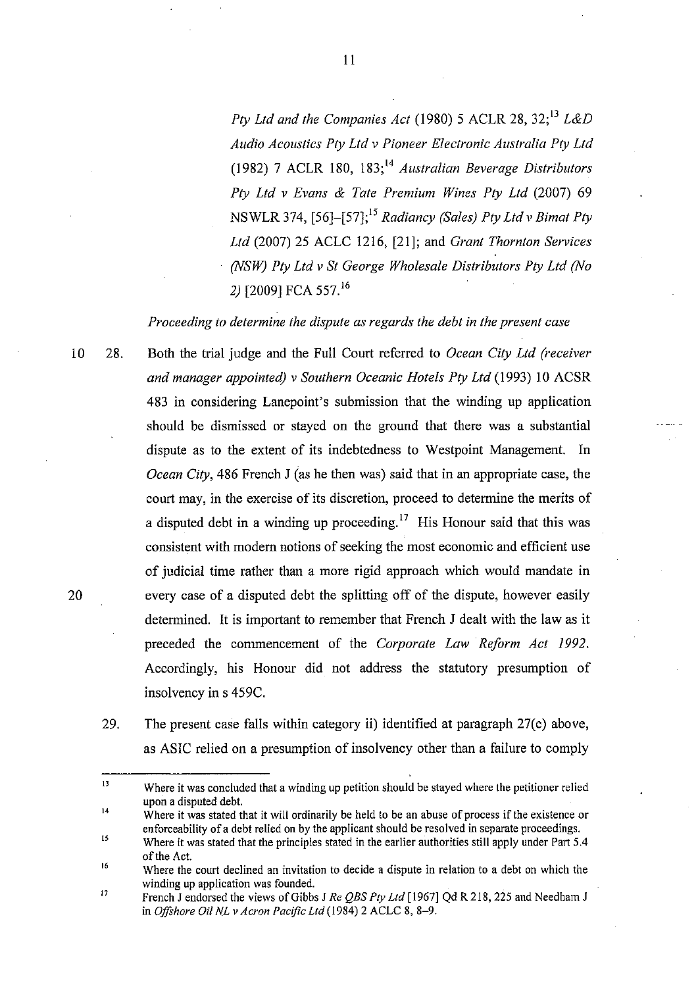*Ply Ltd and the Companies Act* (1980) 5 ACLR 28,32;13 *L&D Audio Acoustics Ply Lld v Pioneer Electronic Australia Ply Ltd*  (1982) 7 ACLR 180, 183;14 *Australian Beverage Distributors Ply Ltd v Evans* & *Tate Premium Wines Ply Ltd* (2007) 69 NSWLR 374, [56]-[57];15 *Radiancy (Sales) Ply Ltd v Bimat Ply Ltd* (2007) 25 ACLC 1216, [21]; and *Grant Thornton Services (NSW) Ply Ltd v St George Wholesale Distributors Ply Lld (No*  2) [2009] FCA 557. <sup>16</sup>

*Proceeding to determine the dispute as regards the debt in the present case* 

- 10 28. Both the trial judge and the Full Court referred to *Ocean Cily Ltd (receiver and manager appointed) v Southern Oceanic Hotels Ply Ltd* (1993) 10 ACSR 483 in considering Lanepoint's submission that the winding up application should be dismissed or stayed on the ground that there was a substantial dispute as to the extent of its indebtedness to Westpoint Management. In *Ocean City*, 486 French J (as he then was) said that in an appropriate case, the court may, in the exercise of its discretion, proceed to determine the merits of a disputed debt in a winding up proceeding.<sup>17</sup> His Honour said that this was consistent with modem notions of seeking the most economic and efficient use of judicial time rather than a more rigid approach which would mandate in every case of a disputed debt the splitting off of the dispute, however easily determined. It is important to remember that French J dealt with the law as it preceded the commencement of the *Corporate Law Reform Act 1992.*  Accordingly, his Honour did not address the statutory presumption of insolvency in s 459C. 20
	- 29. The present case falls within category ii) identified at paragraph 27(c) above, as ASIC relied on a presumption of insolvency other than a failure to comply

<sup>13</sup>  Where it was concluded that a winding up petition should be stayed where the petitioner relied upon a disputed debt.

<sup>14</sup>  Where it was stated that it will ordinarily be held to be an abuse of process if the existence or enforceability of a debt relied on by the applicant should be resolved in separate proceedings.

<sup>15</sup>  Where it was stated that the principles stated in the earlier authorities still apply under Part 5.4 of the Act.

<sup>16</sup>  Wbere the court declined an invitation to decide a dispute in relation to a debt on which the winding up application was founded.

<sup>17</sup>  French J endorsed the views of Gibbs J Re QBS Pty Ltd [1967] Qd R 218, 225 and Needham J in *Offshore Oil NL v Acron Pacific Ltd* (1984) 2 ACLC 8, 8-9.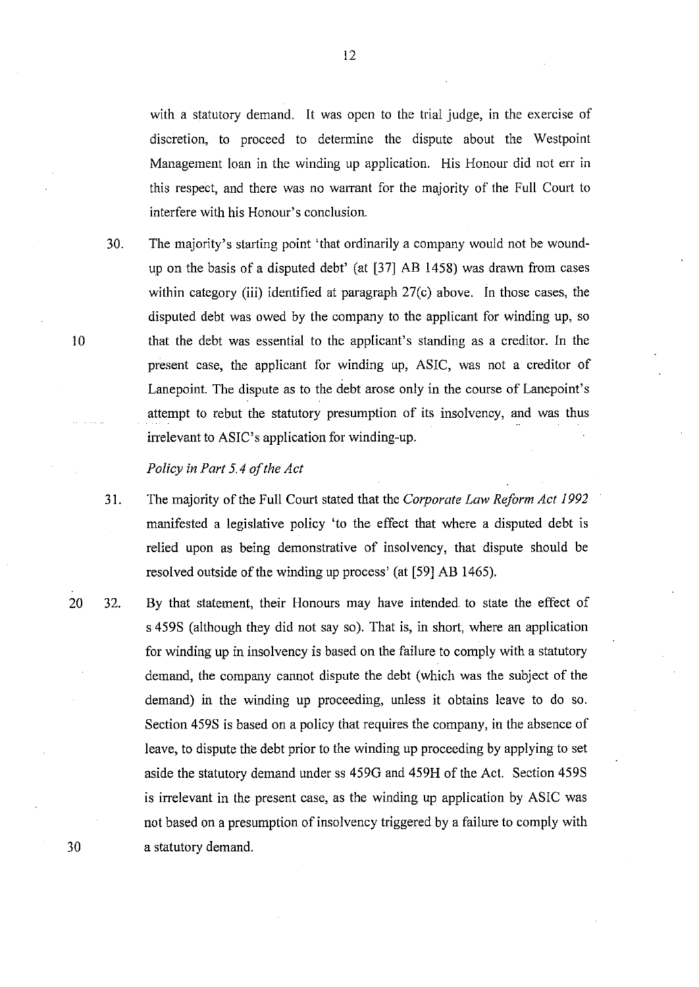with a statutory demand. It was open to the trial judge, in the exercise of discretion, to proceed to determine the dispute about the Westpoint Management loan in the winding up application. His Honour did not err in this respect, and there was no warrant for the majority of the Full Court to interfere with his Honour's conclusion.

30. The majority's starting point 'that ordinarily a company would not be woundup on the basis of a disputed debt' (at [37) AB 1458) was drawn from cases within category (iii) identified at paragraph 27(c) above. In those cases, the disputed debt was owed by the company to the applicant for winding up, so that the debt was essential to the applicant's standing as a creditor. In the present case, the applicant for winding up, ASIC, was not a creditor of Lanepoint. The dispute as to the debt arose only in the course of Lanepoint's attempt to rebut the statutory presumption of its insolvency, and was thus irrelevant to ASIC's application for winding-up.

## *Policy in Part* 5.4 *of the Act*

- 31. The majority of the Full Court stated that the *Corporate Law Reform Act 1992*  manifested a legislative policy 'to the effect that where a disputed debt is relied upon as being demonstrative of insolvency, that dispute should be resolved outside of the winding up process' (at [59] AB 1465).
- 20 32. By that statement, their Honours may have intended to state the effect of s 459S (although they did not say so). That is, in short, where an application for winding up in insolvency is based on the failure to comply with a statutory demand, the company cannot dispute the debt (which was the subject of the demand) in the winding up proceeding, unless it obtains leave to do so. Section 459S is based on a policy that requires the company, in the absence of leave, to dispute the debt prior to the winding up proceeding by applying to set aside the statutory demand under ss 4590 and 459H of the Act. Section 459S is irrelevant in the present case, as the winding up application by ASIC was not based on a presumption of insolvency triggered by a failure to comply with 30 a statutory demand.

ID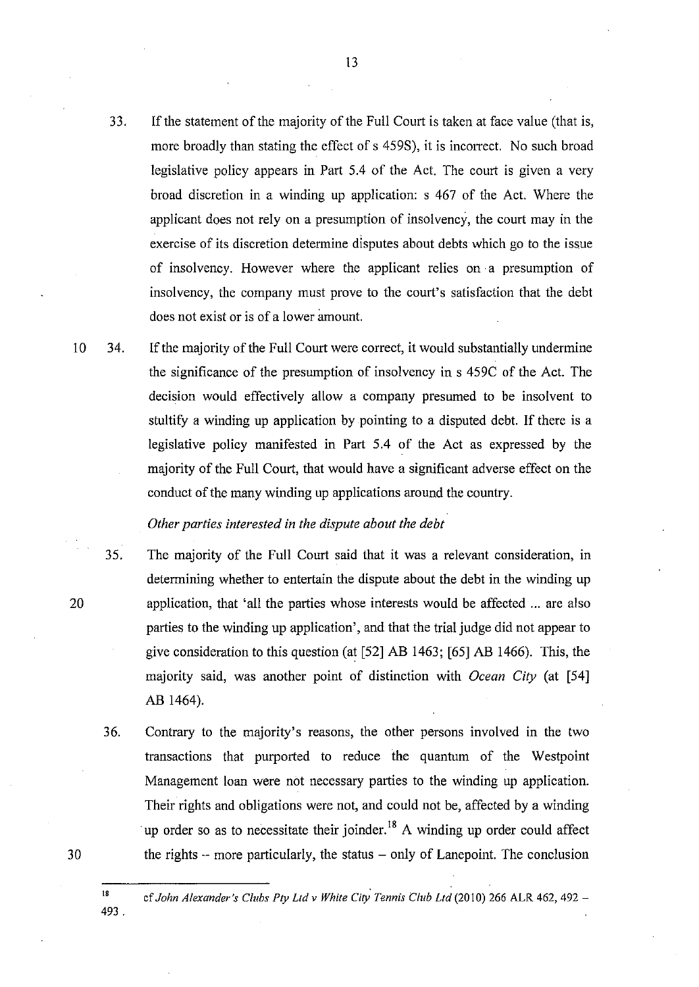- 33. If the statement of the majority of the Full Court is taken at face value (that is, more broadly than stating the effect of s 459S), it is incorrect. No such broad legislative policy appears in Part 5.4 of the Act. The court is given a very broad discretion in a winding up application: s 467 of the Act. Where the applicant does not rely on a presumption of insolvency, the court may in the exercise of its discretion determine disputes about debts which go to the issue of insolvency. However where the applicant relies on a presumption of insolvency, the company must prove to the court's satisfaction that the debt does not exist or is of a lower amount.
- 10 34. If the majority of the Full Court were correct, it would substantially undermine the significance of the presumption of insolvency in s 459C of the Act. The decision would effectively allow a company presumed to be insolvent to stultify a winding up application by pointing to a disputed debt. If there is a legislative policy manifested in Part 5.4 of the Act as expressed by the majority of the Full Court, that would have a significant adverse effect on the conduct of the many winding up applications around the country.

## *Other parties interested in the dispute about the debt*

- 35. The majority of the Full Court said that it was a relevant consideration, in determining whether to entertain the dispute about the debt in the winding up application, that 'all the parties whose interests would be affected ... are also parties to the winding up application', and that the trial judge did not appear to give consideration to this question (at [52] AB 1463; [65] AB 1466). This, the majority said, was another point of distinction with *Ocean City* (at [54] AB 1464).
- 36. Contrary to the majority's reasons, the other persons involved in the two transactions that purported to reduce the quantum of the Westpoint Management loan were not necessary parties to the winding up application. Their rights and obligations were not, and could not be, affected by a winding up order so as to necessitate their joinder.<sup>18</sup> A winding up order could affect the rights  $-$  more particularly, the status  $-$  only of Lanepoint. The conclusion
- <sup>18</sup> cf John Alexander's Clubs Pty Ltd v White City Tennis Club Ltd (2010) 266 ALR 462, 492 -

493.

30

20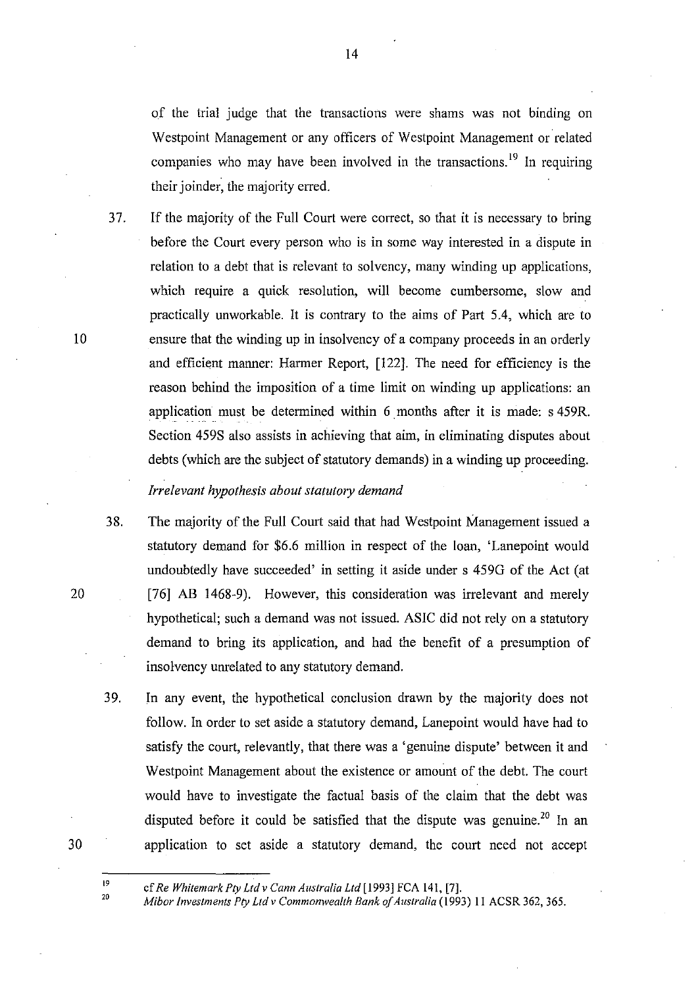of the trial judge that the transactions were shams was not binding on Westpoint Management or any officers of Westpoint Management or related companies who may have been involved in the transactions.<sup>19</sup> In requiring their joinder, the majority erred.

37. If the majority of the Full Court were correct, so that it is necessary to bring before the Court every person who is in some way interested in a dispute in relation to a debt that is relevant to solvency, many winding up applications, which require a quick resolution, will become cumbersome, slow and practically unworkable. It is contrary to the aims of Part 5.4, which are to ensure that the winding up in insolvency of a company proceeds in an orderly and efficient manner: Harmer Report, [122]. The need for efficiency is the reason behind the imposition of a time limit on winding up applications: an application must be determined within 6 months after it is made: s 459R. Section 459S also assists in achieving that aim, in eliminating disputes about debts (which are the subject of statutory demands) in a winding up proceeding.

# *Irrelevant hypothesis about statutory demand*

- 38. The majority of the Full Court said that had Westpoint Management issued a statutory demand for \$6.6 million in respect of the loan, 'Lanepoint would undoubtedly have succeeded' in setting it aside under s 459G of the Act (at [76] AB 1468-9). However, this consideration was irrelevant and merely hypothetical; such a demand was not issued. ASIC did not rely on a statutory demand to bring its application, and had the benefit of a presumption of insolvency unrelated to any statutory demand.
- 39. In any event, the hypothetical conclusion drawn by the majority does not follow. In order to set aside a statutory demand, Lanepoint would have had to satisfy the court, relevantly, that there was a 'genuine dispute' between it and Westpoint Management about the existence or amount of the debt. The court would have to investigate the factual basis of the claim that the debt was disputed before it could be satisfied that the dispute was genuine.<sup>20</sup> In an application to set aside a statutory demand, the court need not accept

10

20

30

<sup>19</sup>  ef *Re Whitemark Ply Ltd* v *Cann Australia Ltd* [1993] FCA 141, [7].

*Mibor Investments Ply Ltd* v *Commonwealth Bank of Australia* (1993) II ACSR 362, 365.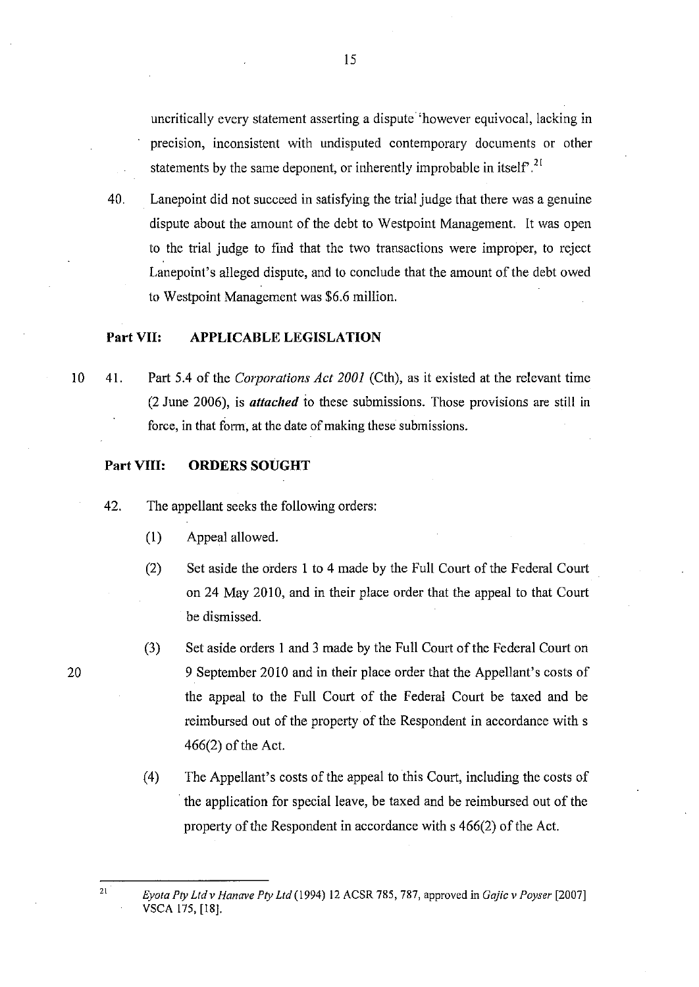uncritically every statement asserting a dispute 'however equivocal, lacking in precision, inconsistent with undisputed contemporary documents or other statements by the same deponent, or inherently improbable in itself.<sup>21</sup>

40. Lanepoint did not succeed in satisfying the trial judge that there was a genuine dispute about the amount of the debt to Westpoint Management. It was open to the trial judge to find that the two transactions were improper, to reject Lanepoint's alleged dispute, and to conclude that the amount of the debt owed to Westpoint Management was \$6.6 million.

## **Part VII: APPLICABLE LEGISLATION**

10 41. Part 5.4 of the *Corporations Act 2001* (Cth), as it existed at the relevant time (2 June 2006), is *attached* to these submissions. Those provisions are still in force, in that form, at the date of making these submissions.

## **Part VIII:** ORDERS SOUGHT

- 42. The appellant seeks the following orders:
	- (I) Appeal allowed.
	- (2) Set aside the orders 1 to 4 made by the Full Court of the Federal Court on 24 May 2010, and in their place order that the appeal to that Court be dismissed.
	- (3) Set aside orders I and 3 made by the Full Court of the Federal Court on 9 September 2010 and in their place order that the Appellant's costs of the appeal to the Full Court of the Federal Court be taxed and be reimbursed out of the property of the Respondent in accordance with s 466(2) of the Act.
	- (4) The Appellant's costs of the appeal to this Court, including the costs of . the application for special leave, be taxed and be reimbursed out of the property of the Respondent in accordance with s 466(2) of the Act.

20

*Eyota Ply Ltdv Hanave Ply Ltd(l994)* 12 ACSR 785,787, approved in *Gajie v Poyser [2007]*  VSCA 175, [18].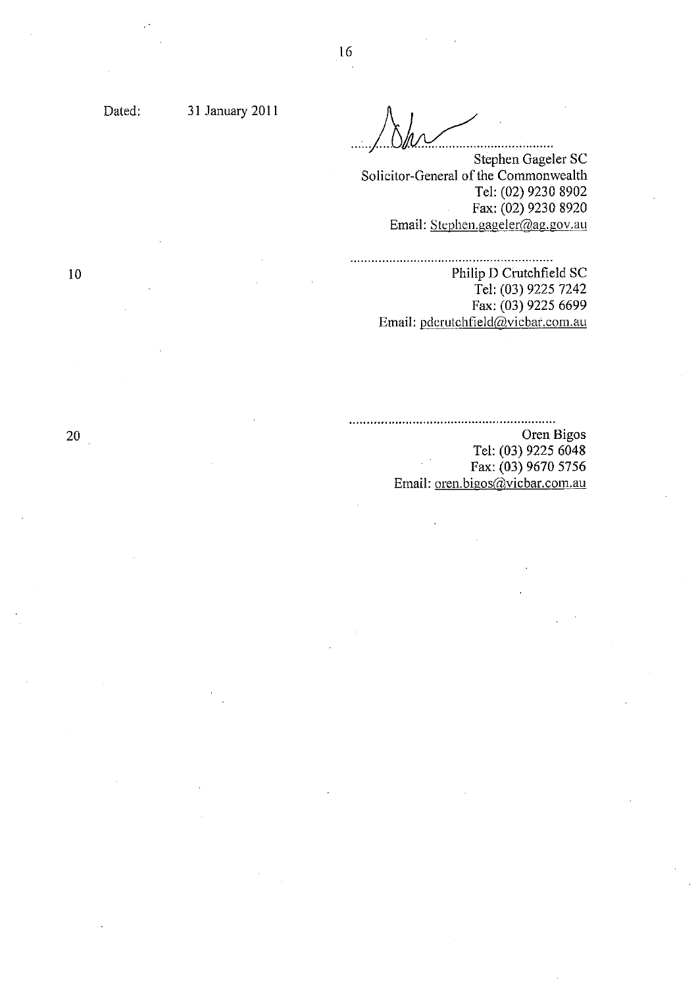Dated: 31 January 2011

Ink. Suite de la décrite de la décrite de la main de la décrite de la main de la décrite de la main de la main

Stephen Gageler SC Solicitor-General of the Commonwealth Tel: (02) 9230 8902 Fax: (02) 9230 8920 Email: Stephen.gageler@ag.gov.au

#### 

Philip D Crutchfield SC Tel: (03) 9225 7242 Fax: (03) 9225 6699 Email: pdcrutchfield@vicbar.com.au

Oren Bigos Tel: (03) 9225 6048 Fax: (03) 9670 5756 Email: oren.bigos@vicbar.com.au

10

 $20<sub>1</sub>$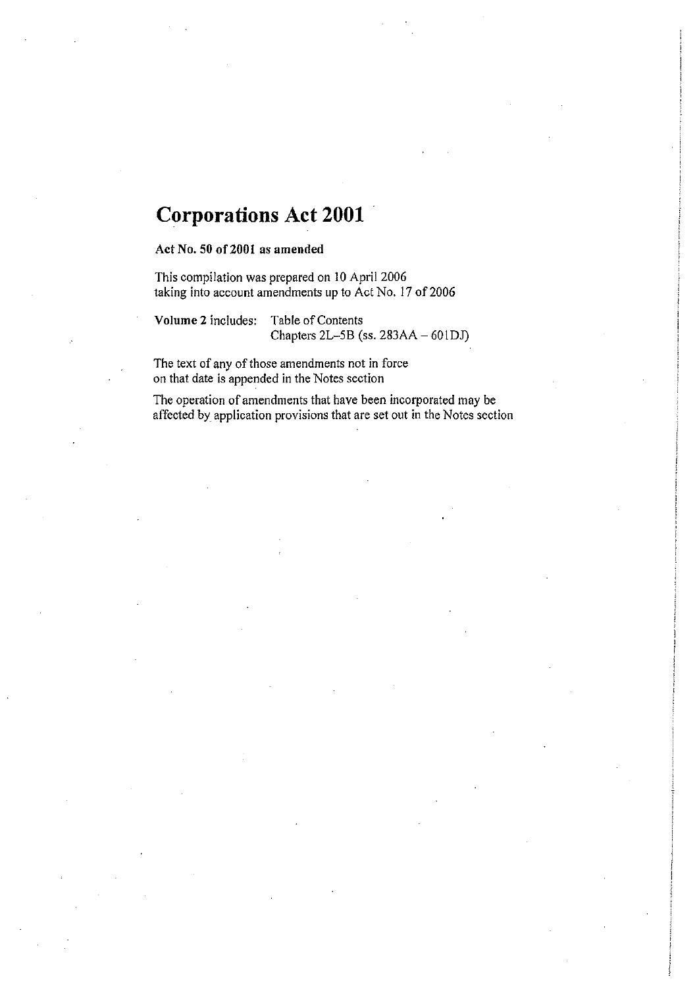# **Corporations Act 2001**

Act No. 50 of2001 as amended

This compilation was prepared on 10 April 2006 taking into account amendments up to Act No. 17 of 2006

Volume 2 includes: Table of Contents Chapters  $2L-5B$  (ss.  $283AA - 601DJ$ )

The text of any of those amendments not in force on that date is appended in the Notes section

The operation of amendments that have been incorporated may be affected by application provisions that are set out in the Notes section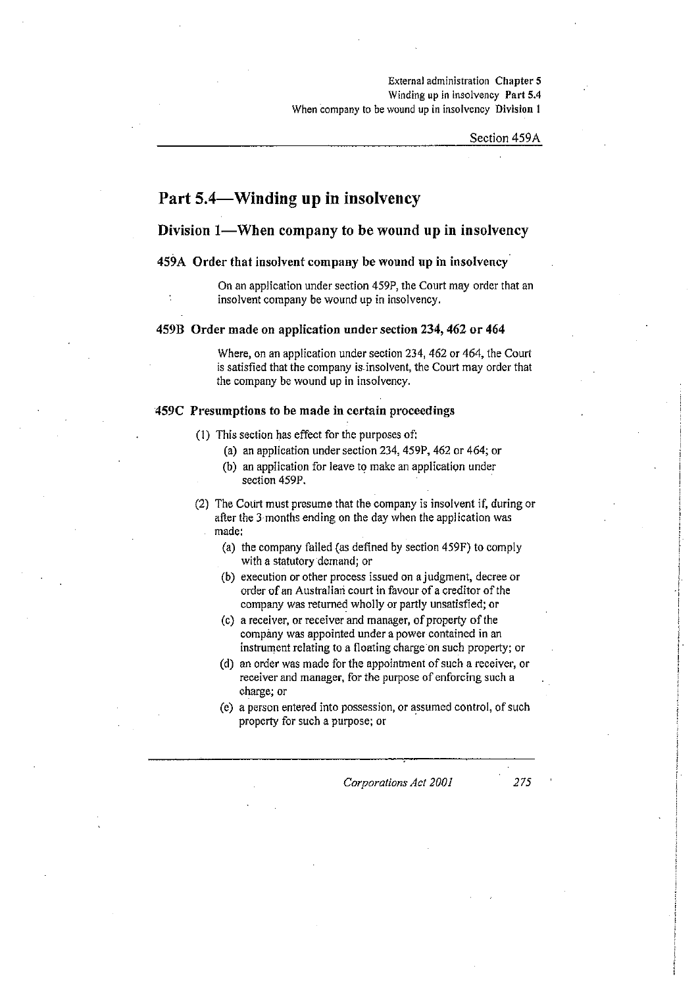**External administration Chapter 5**  Winding up in insolvency Part 5.4 **When company to be wound up in insolvency Division 1** 

Section 459A

# **Part S.4-Winding up in insolvency**

## Division I-When company to be wound **up** in insolvency

## 459A Order that insolvent company be wound up in insolvency

On an application under section 459P, the Court may order that an insolvent company be wound up in insolvency.

#### 459B Order made on application under section 234, 462 or 464

Where, on an application under section 234, 462 or 464, the Court is satisfied that the company is. insolvent, the Court may order that the company be wound up in insolvency.

#### 459C Presumptions to be made in certain proceedings

- (1) This section has effect for the purposes of:
	- (a) an application under section 234, 459P, 462 or 464; or
	- (b) an application for leave to make an application under section 459P.
- (2) The Court must presume that the company is insolvent if, during or after the 3 months ending on the day when the application was made:
	- (a) the company failed (as defined by section 459F) to comply with a statutory demand; or
	- (b) execution or other process issued on ajudgment, decree or order of an Australiari court in favour of a creditor of *the*  company was returned wholly or partly unsatisfied; or
	- (c) a receiver, or receiver and manager, of property of the company was appointed under a power contained in an instrument relating to a floating charge on such property; or
	- (d) an order was made for the appointment of such a receiver, or receiver and manager, for the purpose of enforcing such a charge; or
	- (e) a person entered into possession, or assumed control, of such property for such a purpose; or

*Corporations Act 2001* 275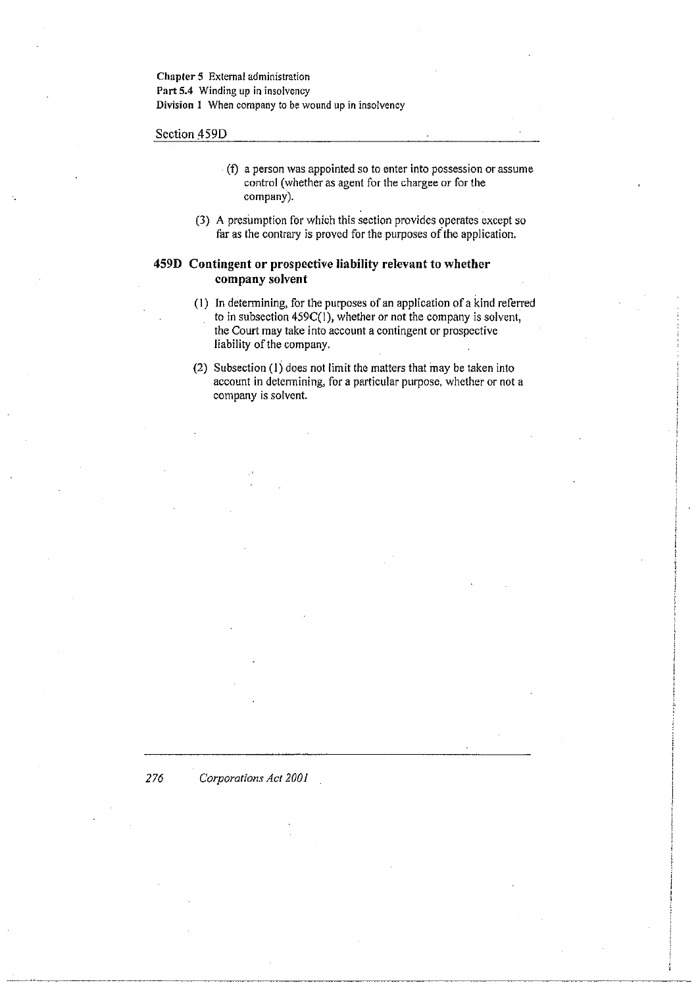**Chapter 5 External administration**  Part 5.4 Winding up in insolvency **Division 1 When company to be wound up in insolvency** 

Section 459D

- $\cdot$  (f) a person was appointed so to enter into possession or assume control (whether as agent for the chargee or for the company).
- (3) A presumption for which this section provides operates except so far as the contrary is proved for the purposes of the application.

## **459D Contingent or prospective liability relevant to whether company solvent**

- (1) In determining, for the purposes of an application of a kind referred to in subsection 459C(I), whether or not the company is solvent, the Court may take into account a contingent or prospective liability of the company.
- (2) Subsection (l) does not limit the matters that may be taken into account in determining, for a particular purpose, whether or not a company is solvent.

*276 Corporations Act 2001*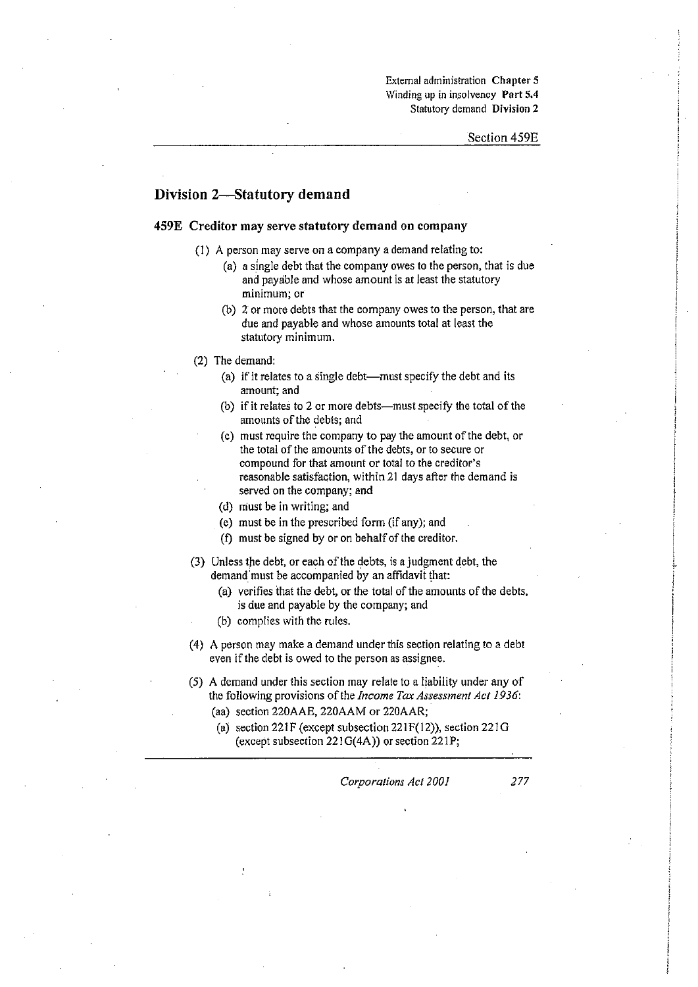**External administration Chapter 5**  Winding up in insolvency Part 5.4 **Statutory demand Division 2** 

#### **Division 2-Statutory demand**

#### **459E Creditor may** serve statutory **demand on corn pany**

- (I) A person may serve on a company a demand relating to:
	- (a) a single debt that the company owes to the person, that is due and payable and whose amount is at least the statutory minimum; or
	- (b) 2 or more debts that the company owes to the person, that are due and payable and whose amounts total at least the statutory minimum.
- (2) The demand:
	- (a) if it relates to a single debt-must specify the debt and its amount; and
	- (b) if it relates to 2 or more debts-must specify the total of the amounts of the debts; and
	- (c) must require the company to pay the amount of the debt, or the total of the amounts of the debts, or to secure or compound for that amount or total to the creditor's reasonable satisfaction, within 21 days after the demand is served on the company; and
	- (d) must be in writing; and
	- (e) must be in the prescribed form (if any); and
	- (1) must be signed by or on behalf of the creditor.
- (3) Unless the debt, or each of the debts, is a judgment debt, the demand must be accompanied by an affidavit that:
	- (a) verifies that the debt, or the total of the amounts of the debts, is due and payable by the company; and
	- (b) complies with the rules.
- (4) A person may make a demand under this section relating to a debt even if the debt is owed to the person as assignee.
- (5) A demand under this section may relate to a liability under any of the following provisions of the *Income Tax Assessment Act 1936:* 
	- (aa) section 220AAE, 220AAM or 220AAR;
	- (a) section 221F (except subsection  $221F(12)$ ), section  $221G$ (except subsection  $221G(4A)$ ) or section  $221P$ ;

*Corporations Act 2001* 277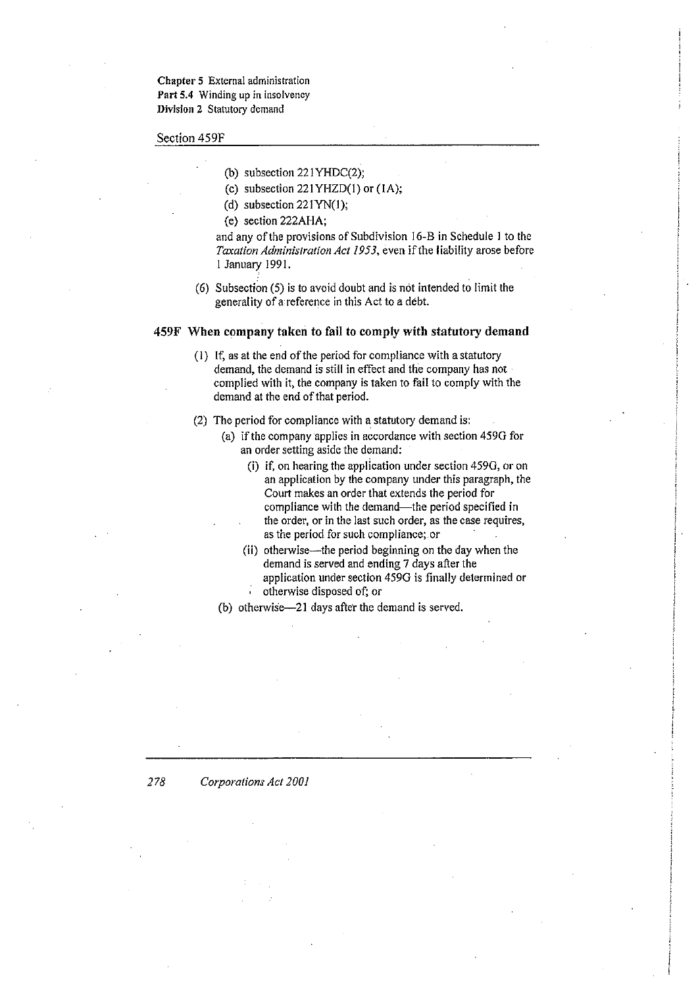**Chapter 5 External administration Part 5.4 Winding up in insolvency Division 2 Statutory demand** 

Section 459F

- (b) subsection 221YHDC(2);
- (c) subsection 221YHZD(1) or (IA);
- (d) subsection 221YN(1);
- (e) section 222AHA;

and any of the provisions of Subdivision 16-B in Schedule 1 to the *Taxation Administration Act* 1953, even if the liability arose before I January 1991.

(6) Subsection (5) is to avoid doubt and is not intended to limit the generality of a'reference in this Act to a debt.

#### 459F When company taken to fail to comply with statutory demand

- Cl) If, as at the end of the period for compliance with a statutory demand, the demand is still in effect and the company has not complied with it, the company is taken to fail to comply with the demand at the end of that period.
- (2) The period for compliance with a statutory demand is:
	- (a) if the company applies in accordance with section 459G for an order setting aside the demand:
		- (i) if, on hearing the application under section 459G, or on an application by the company under this paragraph, the Court makes an order that extends the period for compliance with the demand-the period specified in the order, or in the last such order, as the case requires, as the period for such compliance; or
		- (ii) otherwise—the period beginning on the day when the demand is served and ending 7 days after the application under section 459G is finally determined or otherwise disposed of; or
	- (b) otherwise-21 days after the demand is served.

#### *278 Corporations Act 2001*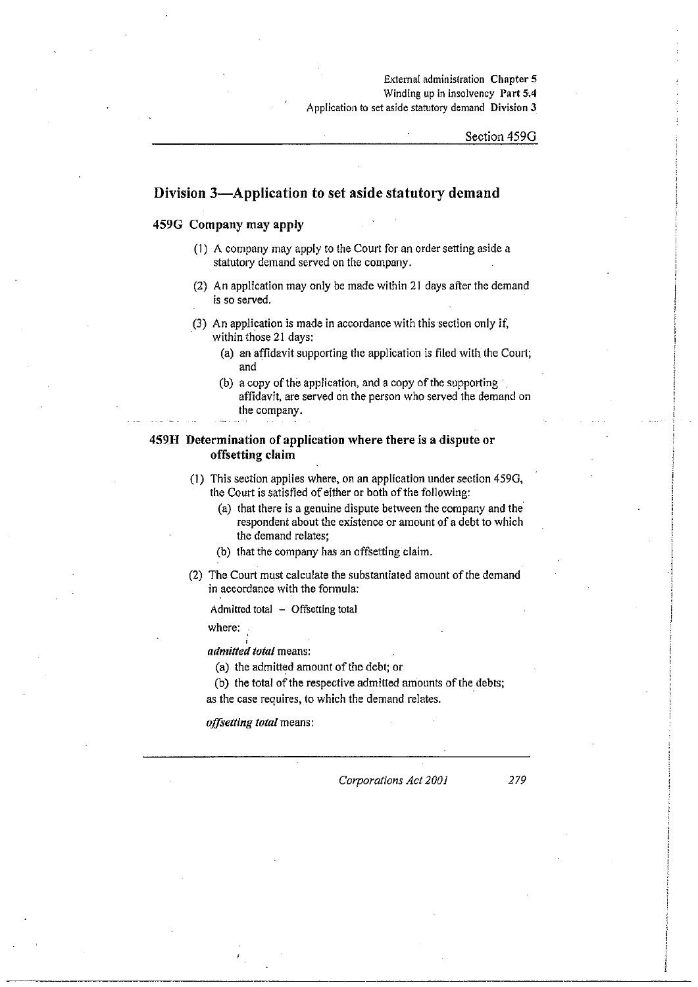#### **External administration Chapter 5**  Winding up in insolvency Part 5.4 Application to set aside statutory demand Division 3

#### Section 4590

## Division 3-Application to set aside statutory demand

#### 459G Company may apply

- (I) A company may apply to the Court for an order setting aside a statutory demand served on the company.
- (2) An application may only be made within 21 days after the demand is so served.
- (3) An application is made in accordance with this section only if, within those 21 days:
	- (a) an affidavit supporting the application is filed with the Court; and
	- (b) a copy of the application, and a copy of the supporting' affidavit, are served on the person who served the demand on the company.

## 459H Determination of application where there is a dispute or offsetting claim

- (I) This section applies where, on an application under section 4590, the Court is satisfied of either or both of the following:
	- (a) that there is a genuine dispute between the company and the respondent about the existence or amount of a debt to which the demand relates;
	- (b) that the company has an offsetting claim.
- (2) The Court must calculate the substantiated amount of the demand in accordance with the formula:

Admitted total  $-$  Offsetting total

where:

*admitted total* means:

(a) the admitted amount of the debt; or

(b) the total of the respective admitted amounts of the debts; as the case requires, to which the demand relates.

*offsetting total* means:

*Corporations Act 2001* 279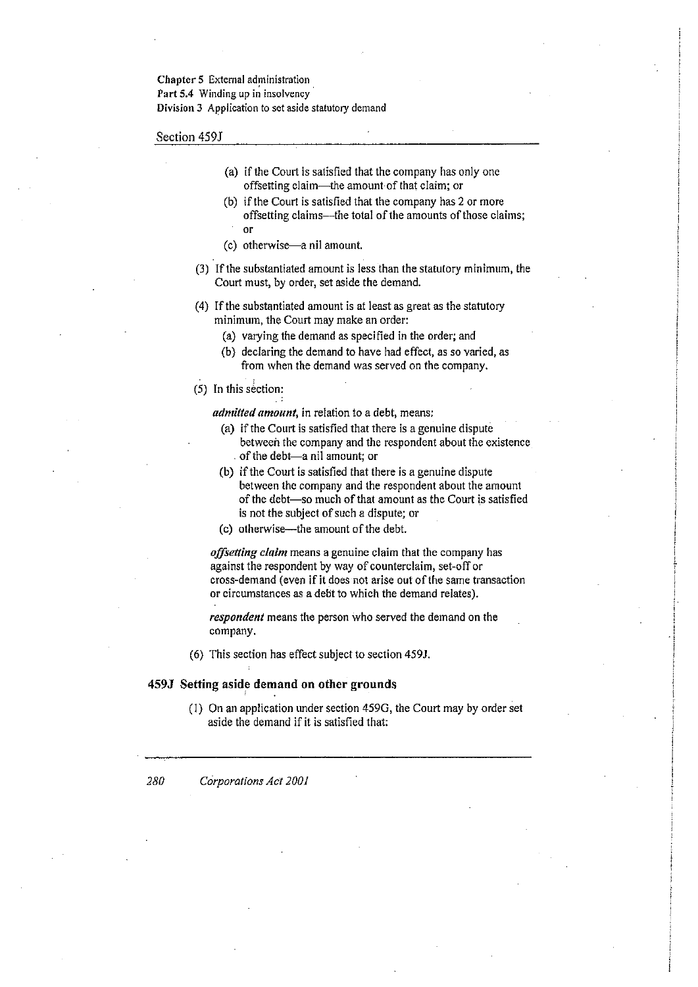#### Chapter 5 External administration

**Part 5.4 Winding up in insolvency** 

**Division 3 Application to set aside statutory demand** 

Section 459J

- (a) if the Court is satisfied that the company has only one offsetting claim-the amount of that claim; or
- (b) if the Court is satisfied that the company has 2 or more offsetting claims-the total of the amounts of those claims; or
- (c) otherwise--a nil amount.
- (3) If the substantiated amount is less than the statulory minimum, the Court must, by order, set aside the demand.
- (4) Ifthe substantiated amount is at least as great as the statutory minimum, the Court may make an order:
	- $(a)$  varying the demand as specified in the order; and
	- Cb) declaring the demand to have had effect, as so varied, as from when the demand was served on the company.
- $(5)$  In this section:

*admitted amount,* in relation to a debt, means:

- (a) if the Court is satisfied that there is a genuine dispute between the company and the respondent about the existence . of the debt-a nil amount; or
- (b) if the Court is satisfied that there is a genuine dispute between the company and the respondent about the amount of the debt-so much of that amount as the Court is satisfied is not the subject of such a dispute; or
- Cc) otherwise-the amount of the debt.

*offsetting claim* means a genuine claim that the company has against the respondent by way of counterclaim, set-off or cross-demand (even if it does not arise out of the same transaction or circumstances as a debt to which the demand relates).

*respondent* means the person who served the demand on the company.

(6) This section has effect subject to section 4591.

#### **459J** Setting aside **demand on other** grounds

(l) On an application under section 4590, the Court may by order set aside the demand if it is satisfied that:

*280 Corporations Act 2001*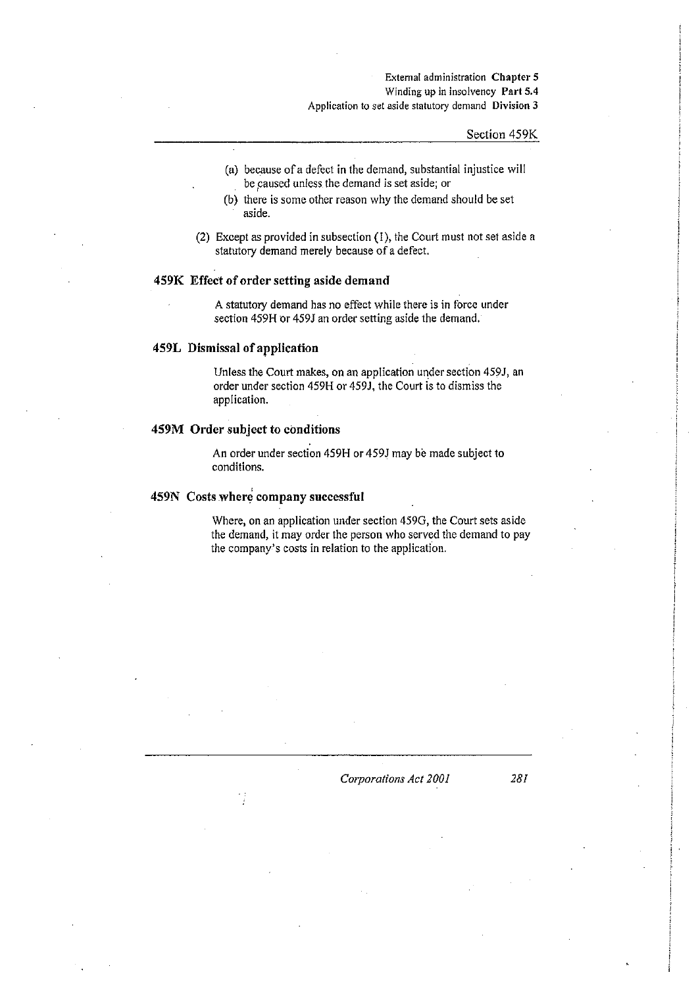#### **External administration Chapter 5**  Winding up in insolvency Part 5.4 **Application to set aside statutory demand Division 3**

## Section 459K

- (a) because of a defect in the demand, substantial injustice will be caused unless the demand is set aside; or
- (b) there is some other reason why the demand should be set aside.
- (2) Except as provided in subsection (I), the Court must not set aside a statutory demand merely because of a defect.

#### 459K Effect of order setting aside demand

A statutory demand has no effect while there is in force under section 459H or 459J an order setting aside the demand.

## 459L Dismissal of application

Unless the Court makes, on an application under section 459J, an order under section 459H or 459J, the Court is to dismiss the application.

#### 459M Order subject to conditions

An order under section 459H or 459J may be made subject to conditions.

## 459N Costs where company successful

Where, on an application under section 4590, the Court sets aside the demand, it may order the person who served the demand to pay the company's costs in relation to the application.

#### *CO/para/ions Act 2001* 28!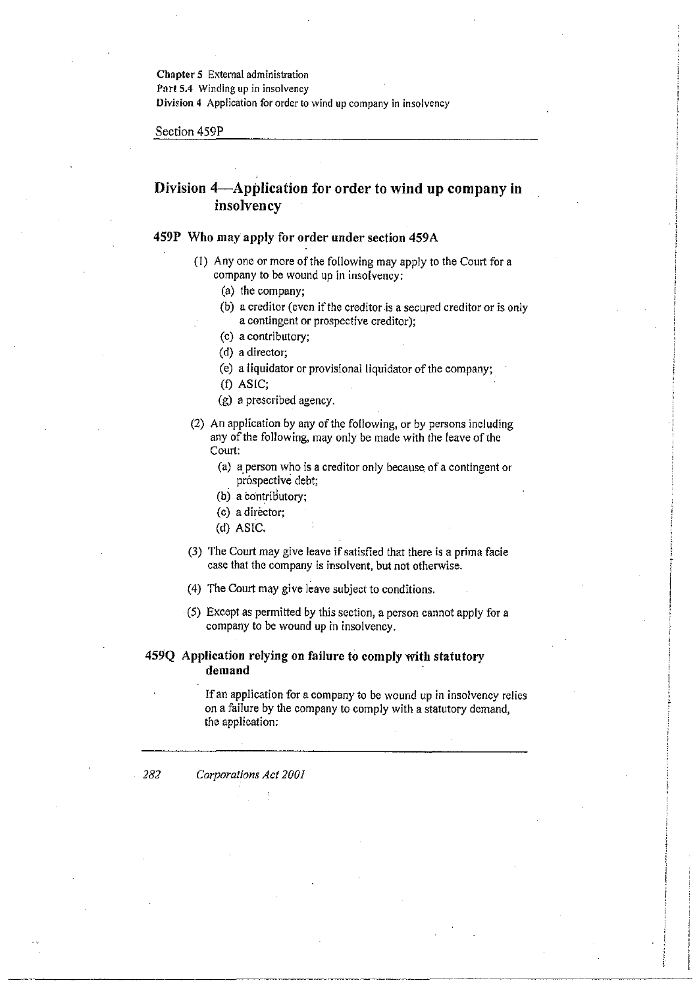**Chapter 5** External administration Port 5.4 Winding up in insolvency **Division 4** Application for order to wind up company in insolvency

Section 459P

# Division 4-Application for order to wind up company in insolvency

#### 459P Who may apply for order under section 459A

- (I) Anyone or more of the following may apply to the Court for a company to be wound up in insolvency:
	- (a) the company;
	- (b) a creditor (even if the creditor is a secured creditor or is only a contingent or prospective creditor);
	- (c) a contributory;
	- (d) a director;
	- (e) a liquidator or provisional liquidator of the company;
	- (t) ASIC;
	- (g) a prescribed agency.
- (2) An application by any of the following, or by persons including any of the following, may only be made with the leave of the Court:
	- (a) a person who is a creditor only because of a contingent or prospective debt;
	- (b) a contributory;
	- (c) a director;
	- (d) ASIC.
- (3) The Court may give leave if satisfied that there is a prima facie case that the company is insolvent, but not otherwise.
- (4) The Court may give leave subject to conditions.
- (5) Except as permitted by this section, a person cannot apply for a company to be wound up in insolvency.

## 459Q Application relying on failure to comply with statutory demand

If an application for a company to be wound up in insolvency relies on a failure by the company to comply with a statutory demand, the application:

*282 Corporations Act 2001*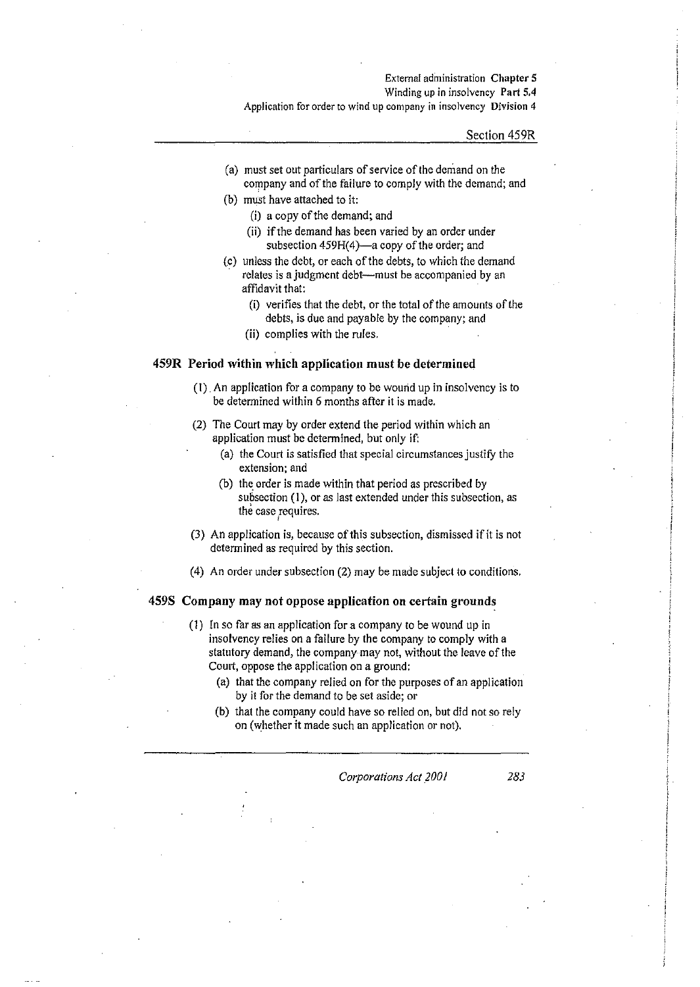#### Extemal administration Chapter 5

Winding up in insolvency Part 5.4

**Application fororderto wind up company in insolvency Division 4** 

#### Section 459R

- (a) must set out particulars of service of the demand on the company and of the failure to comply with Ihe demand; and
- (b) must have attached to it:
	- (i) a copy of the demand; and
	- (ii) if the demand has been varied by an order under subsection 459H(4)-a copy of the order; and
- (c) unless the debt, or each of the debts, to which the demand relates is a judgment debt--must be accompanied by an affidavit that:
	- (i) verifies that the debt, or the total of the amounts of the debts, is due and payable by the company; and
	- (ii) complies with the rules.

#### 459R Period within which application must be determined

- (1) An application for a company to be wound up in insolvency is to be determined within 6 months after it is made.
- (2) The Court may by order extend the period within which an application must be determined, but only if:
	- (a) the Court is satisfied that special circumstances justify the **extension; and**
	- (b) the order is made within that period as prescribed by subsection (I), or as last extended under this subsection, as the case requires.
- (3) An application is, because of this subsection, dismissed ifit is not determined as required by this section.
- (4) An order under subsection (2) may be made subject to conditions.

#### 459S Company may not oppose application on certain grounds

- (1) In so far as an application for a company to be wound up in insolvency relies on a failure by the company to comply with a statutory demand, the company may not, without the leave of the Court, oppose the application on a ground:
	- (a) that the company relied on for the purposes of an application by it for the demand to be set aside; or
	- (b) that the company could have so relied on, but did not so rely on (whether it made such an application or not).

*Corporations Act 2001* 283